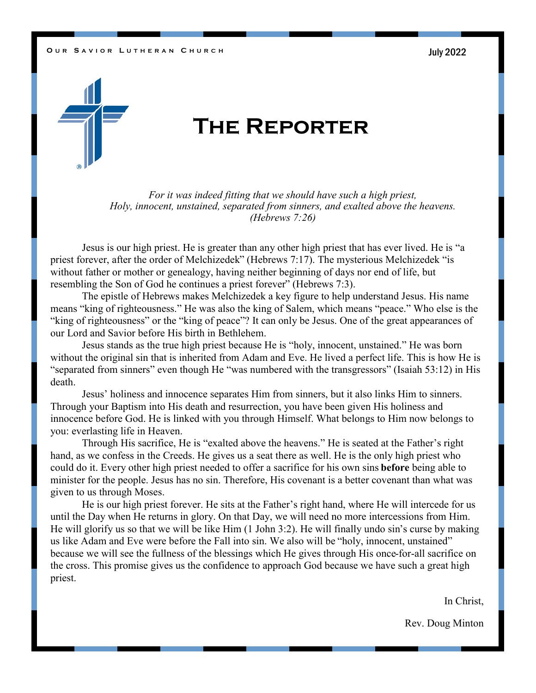### **O** UR SAVIOR LUTHERAN CHURCH **CHOOSE CONSERVERSE SERVICES** UNITS



# **The Reporter**

*For it was indeed fitting that we should have such a high priest, Holy, innocent, unstained, separated from sinners, and exalted above the heavens. (Hebrews 7:26)*

Jesus is our high priest. He is greater than any other high priest that has ever lived. He is "a priest forever, after the order of Melchizedek" (Hebrews 7:17). The mysterious Melchizedek "is without father or mother or genealogy, having neither beginning of days nor end of life, but resembling the Son of God he continues a priest forever" (Hebrews 7:3).

The epistle of Hebrews makes Melchizedek a key figure to help understand Jesus. His name means "king of righteousness." He was also the king of Salem, which means "peace." Who else is the "king of righteousness" or the "king of peace"? It can only be Jesus. One of the great appearances of our Lord and Savior before His birth in Bethlehem.

Jesus stands as the true high priest because He is "holy, innocent, unstained." He was born without the original sin that is inherited from Adam and Eve. He lived a perfect life. This is how He is "separated from sinners" even though He "was numbered with the transgressors" (Isaiah 53:12) in His death.

Jesus' holiness and innocence separates Him from sinners, but it also links Him to sinners. Through your Baptism into His death and resurrection, you have been given His holiness and innocence before God. He is linked with you through Himself. What belongs to Him now belongs to you: everlasting life in Heaven.

Through His sacrifice, He is "exalted above the heavens." He is seated at the Father's right hand, as we confess in the Creeds. He gives us a seat there as well. He is the only high priest who could do it. Every other high priest needed to offer a sacrifice for his own sins **before** being able to minister for the people. Jesus has no sin. Therefore, His covenant is a better covenant than what was given to us through Moses.

He is our high priest forever. He sits at the Father's right hand, where He will intercede for us until the Day when He returns in glory. On that Day, we will need no more intercessions from Him. He will glorify us so that we will be like Him (1 John 3:2). He will finally undo sin's curse by making us like Adam and Eve were before the Fall into sin. We also will be "holy, innocent, unstained" because we will see the fullness of the blessings which He gives through His once-for-all sacrifice on the cross. This promise gives us the confidence to approach God because we have such a great high priest.

In Christ,

Rev. Doug Minton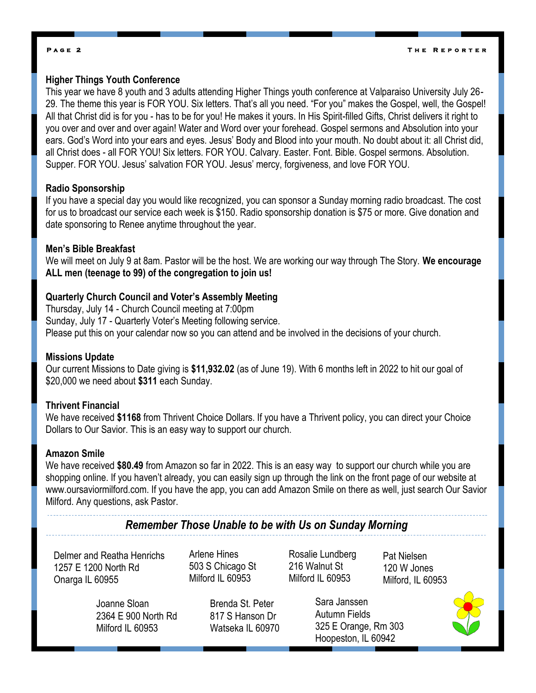## **P a g e 2**

# **Higher Things Youth Conference**

This year we have 8 youth and 3 adults attending Higher Things youth conference at Valparaiso University July 26- 29. The theme this year is FOR YOU. Six letters. That's all you need. "For you" makes the Gospel, well, the Gospel! All that Christ did is for you - has to be for you! He makes it yours. In His Spirit-filled Gifts, Christ delivers it right to you over and over and over again! Water and Word over your forehead. Gospel sermons and Absolution into your ears. God's Word into your ears and eyes. Jesus' Body and Blood into your mouth. No doubt about it: all Christ did, all Christ does - all FOR YOU! Six letters. FOR YOU. Calvary. Easter. Font. Bible. Gospel sermons. Absolution. Supper. FOR YOU. Jesus' salvation FOR YOU. Jesus' mercy, forgiveness, and love FOR YOU.

## **Radio Sponsorship**

If you have a special day you would like recognized, you can sponsor a Sunday morning radio broadcast. The cost for us to broadcast our service each week is \$150. Radio sponsorship donation is \$75 or more. Give donation and date sponsoring to Renee anytime throughout the year.

## **Men's Bible Breakfast**

We will meet on July 9 at 8am. Pastor will be the host. We are working our way through The Story. **We encourage ALL men (teenage to 99) of the congregation to join us!** 

# **Quarterly Church Council and Voter's Assembly Meeting**

Thursday, July 14 - Church Council meeting at 7:00pm Sunday, July 17 - Quarterly Voter's Meeting following service. Please put this on your calendar now so you can attend and be involved in the decisions of your church.

# **Missions Update**

Our current Missions to Date giving is **\$11,932.02** (as of June 19). With 6 months left in 2022 to hit our goal of \$20,000 we need about **\$311** each Sunday.

## **Thrivent Financial**

We have received **\$1168** from Thrivent Choice Dollars. If you have a Thrivent policy, you can direct your Choice Dollars to Our Savior. This is an easy way to support our church.

# **Amazon Smile**

We have received **\$80.49** from Amazon so far in 2022. This is an easy way to support our church while you are shopping online. If you haven't already, you can easily sign up through the link on the front page of our website at www.oursaviormilford.com. If you have the app, you can add Amazon Smile on there as well, just search Our Savior Milford. Any questions, ask Pastor.

# *Remember Those Unable to be with Us on Sunday Morning*

Delmer and Reatha Henrichs 1257 E 1200 North Rd Onarga IL 60955

Arlene Hines 503 S Chicago St Milford IL 60953

Rosalie Lundberg 216 Walnut St Milford IL 60953

Pat Nielsen 120 W Jones Milford, IL 60953

Joanne Sloan 2364 E 900 North Rd Milford IL 60953

Brenda St. Peter 817 S Hanson Dr Watseka IL 60970

Sara Janssen Autumn Fields 325 E Orange, Rm 303 Hoopeston, IL 60942

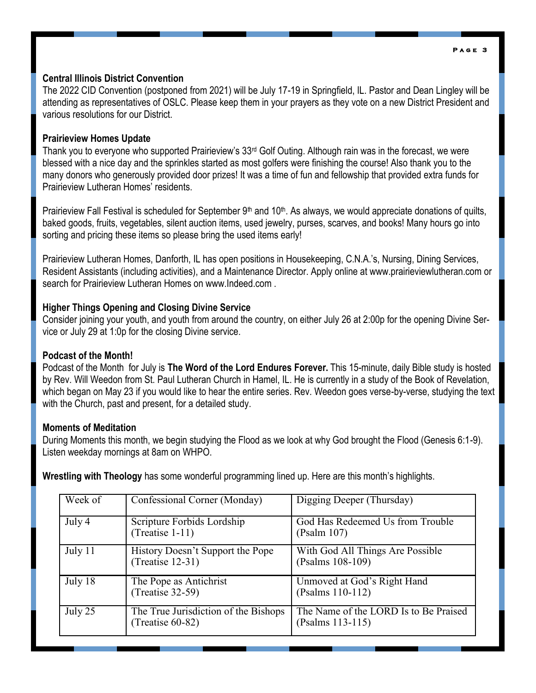#### **P a g e 3**

# **Central Illinois District Convention**

The 2022 CID Convention (postponed from 2021) will be July 17-19 in Springfield, IL. Pastor and Dean Lingley will be attending as representatives of OSLC. Please keep them in your prayers as they vote on a new District President and various resolutions for our District.

# **Prairieview Homes Update**

Thank you to everyone who supported Prairieview's 33rd Golf Outing. Although rain was in the forecast, we were blessed with a nice day and the sprinkles started as most golfers were finishing the course! Also thank you to the many donors who generously provided door prizes! It was a time of fun and fellowship that provided extra funds for Prairieview Lutheran Homes' residents.

Prairieview Fall Festival is scheduled for September  $9<sup>th</sup>$  and  $10<sup>th</sup>$ . As always, we would appreciate donations of quilts, baked goods, fruits, vegetables, silent auction items, used jewelry, purses, scarves, and books! Many hours go into sorting and pricing these items so please bring the used items early!

Prairieview Lutheran Homes, Danforth, IL has open positions in Housekeeping, C.N.A.'s, Nursing, Dining Services, Resident Assistants (including activities), and a Maintenance Director. Apply online at www.prairieviewlutheran.com or search for Prairieview Lutheran Homes on www.Indeed.com .

# **Higher Things Opening and Closing Divine Service**

Consider joining your youth, and youth from around the country, on either July 26 at 2:00p for the opening Divine Service or July 29 at 1:0p for the closing Divine service.

# **Podcast of the Month!**

Podcast of the Month for July is **The Word of the Lord Endures Forever.** This 15-minute, daily Bible study is hosted by Rev. Will Weedon from St. Paul Lutheran Church in Hamel, IL. He is currently in a study of the Book of Revelation, which began on May 23 if you would like to hear the entire series. Rev. Weedon goes verse-by-verse, studying the text with the Church, past and present, for a detailed study.

# **Moments of Meditation**

During Moments this month, we begin studying the Flood as we look at why God brought the Flood (Genesis 6:1-9). Listen weekday mornings at 8am on WHPO.

**Wrestling with Theology** has some wonderful programming lined up. Here are this month's highlights.

| Week of | Confessional Corner (Monday)                                | Digging Deeper (Thursday)                                 |
|---------|-------------------------------------------------------------|-----------------------------------------------------------|
| July 4  | Scripture Forbids Lordship<br>(Treatise $1-11$ )            | God Has Redeemed Us from Trouble<br>(Psalm 107)           |
| July 11 | History Doesn't Support the Pope<br>$(Treatise 12-31)$      | With God All Things Are Possible<br>(Psalms 108-109)      |
| July 18 | The Pope as Antichrist<br>$(Treatise 32-59)$                | Unmoved at God's Right Hand<br>(Psalms 110-112)           |
| July 25 | The True Jurisdiction of the Bishops<br>(Treatise $60-82$ ) | The Name of the LORD Is to Be Praised<br>(Psalms 113-115) |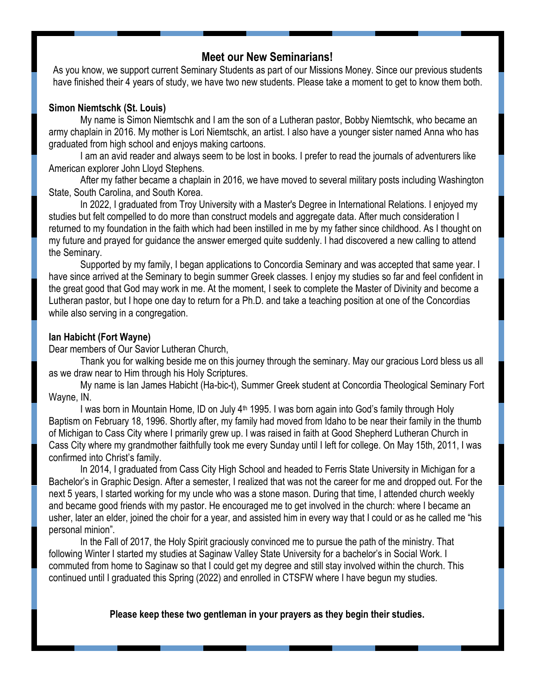# **Meet our New Seminarians!**

As you know, we support current Seminary Students as part of our Missions Money. Since our previous students have finished their 4 years of study, we have two new students. Please take a moment to get to know them both.

# **Simon Niemtschk (St. Louis)**

My name is Simon Niemtschk and I am the son of a Lutheran pastor, Bobby Niemtschk, who became an army chaplain in 2016. My mother is Lori Niemtschk, an artist. I also have a younger sister named Anna who has graduated from high school and enjoys making cartoons.

I am an avid reader and always seem to be lost in books. I prefer to read the journals of adventurers like American explorer John Lloyd Stephens.

After my father became a chaplain in 2016, we have moved to several military posts including Washington State, South Carolina, and South Korea.

In 2022, I graduated from Troy University with a Master's Degree in International Relations. I enjoyed my studies but felt compelled to do more than construct models and aggregate data. After much consideration I returned to my foundation in the faith which had been instilled in me by my father since childhood. As I thought on my future and prayed for guidance the answer emerged quite suddenly. I had discovered a new calling to attend the Seminary.

Supported by my family, I began applications to Concordia Seminary and was accepted that same year. I have since arrived at the Seminary to begin summer Greek classes. I enjoy my studies so far and feel confident in the great good that God may work in me. At the moment, I seek to complete the Master of Divinity and become a Lutheran pastor, but I hope one day to return for a Ph.D. and take a teaching position at one of the Concordias while also serving in a congregation.

## **Ian Habicht (Fort Wayne)**

Dear members of Our Savior Lutheran Church,

Thank you for walking beside me on this journey through the seminary. May our gracious Lord bless us all as we draw near to Him through his Holy Scriptures.

My name is Ian James Habicht (Ha-bic-t), Summer Greek student at Concordia Theological Seminary Fort Wayne, IN.

I was born in Mountain Home, ID on July 4<sup>th</sup> 1995. I was born again into God's family through Holy Baptism on February 18, 1996. Shortly after, my family had moved from Idaho to be near their family in the thumb of Michigan to Cass City where I primarily grew up. I was raised in faith at Good Shepherd Lutheran Church in Cass City where my grandmother faithfully took me every Sunday until I left for college. On May 15th, 2011, I was confirmed into Christ's family.

In 2014, I graduated from Cass City High School and headed to Ferris State University in Michigan for a Bachelor's in Graphic Design. After a semester, I realized that was not the career for me and dropped out. For the next 5 years, I started working for my uncle who was a stone mason. During that time, I attended church weekly and became good friends with my pastor. He encouraged me to get involved in the church: where I became an usher, later an elder, joined the choir for a year, and assisted him in every way that I could or as he called me "his personal minion".

In the Fall of 2017, the Holy Spirit graciously convinced me to pursue the path of the ministry. That following Winter I started my studies at Saginaw Valley State University for a bachelor's in Social Work. I commuted from home to Saginaw so that I could get my degree and still stay involved within the church. This continued until I graduated this Spring (2022) and enrolled in CTSFW where I have begun my studies.

**Please keep these two gentleman in your prayers as they begin their studies.**